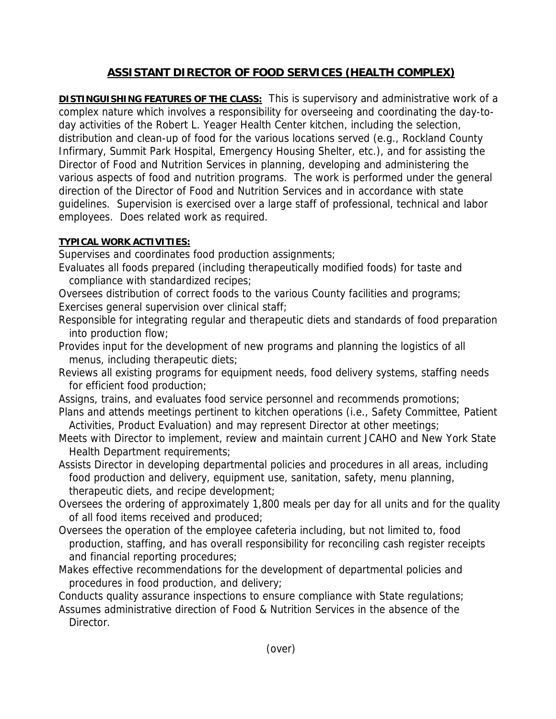## **ASSISTANT DIRECTOR OF FOOD SERVICES (HEALTH COMPLEX)**

**DISTINGUISHING FEATURES OF THE CLASS:** This is supervisory and administrative work of a complex nature which involves a responsibility for overseeing and coordinating the day-today activities of the Robert L. Yeager Health Center kitchen, including the selection, distribution and clean-up of food for the various locations served (e.g., Rockland County Infirmary, Summit Park Hospital, Emergency Housing Shelter, etc.), and for assisting the Director of Food and Nutrition Services in planning, developing and administering the various aspects of food and nutrition programs. The work is performed under the general direction of the Director of Food and Nutrition Services and in accordance with state guidelines. Supervision is exercised over a large staff of professional, technical and labor employees. Does related work as required.

## **TYPICAL WORK ACTIVITIES:**

Supervises and coordinates food production assignments;

- Evaluates all foods prepared (including therapeutically modified foods) for taste and compliance with standardized recipes;
- Oversees distribution of correct foods to the various County facilities and programs; Exercises general supervision over clinical staff;
- Responsible for integrating regular and therapeutic diets and standards of food preparation into production flow;
- Provides input for the development of new programs and planning the logistics of all menus, including therapeutic diets;
- Reviews all existing programs for equipment needs, food delivery systems, staffing needs for efficient food production;
- Assigns, trains, and evaluates food service personnel and recommends promotions;
- Plans and attends meetings pertinent to kitchen operations (i.e., Safety Committee, Patient Activities, Product Evaluation) and may represent Director at other meetings;
- Meets with Director to implement, review and maintain current JCAHO and New York State Health Department requirements;
- Assists Director in developing departmental policies and procedures in all areas, including food production and delivery, equipment use, sanitation, safety, menu planning, therapeutic diets, and recipe development;
- Oversees the ordering of approximately 1,800 meals per day for all units and for the quality of all food items received and produced;
- Oversees the operation of the employee cafeteria including, but not limited to, food production, staffing, and has overall responsibility for reconciling cash register receipts and financial reporting procedures;
- Makes effective recommendations for the development of departmental policies and procedures in food production, and delivery;

Conducts quality assurance inspections to ensure compliance with State regulations;

Assumes administrative direction of Food & Nutrition Services in the absence of the Director.